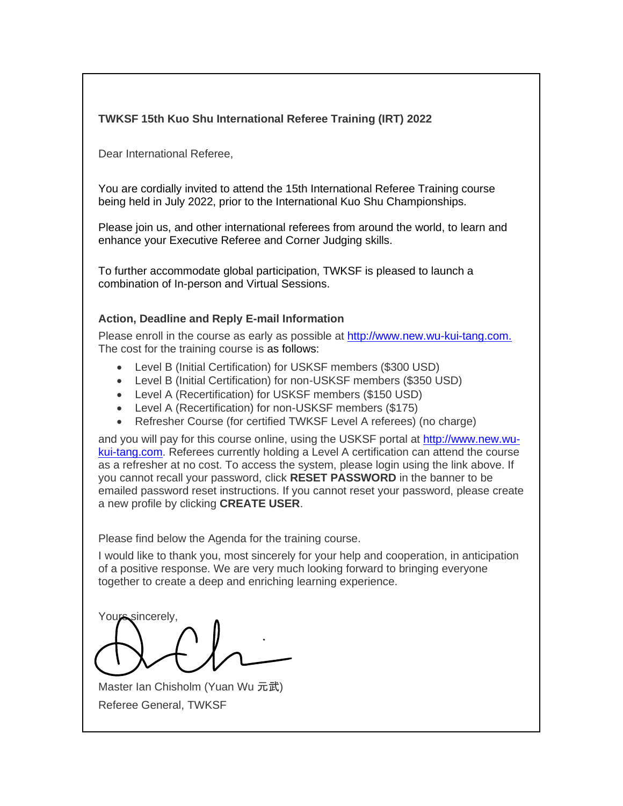# **TWKSF 15th Kuo Shu International Referee Training (IRT) 2022**

Dear International Referee,

You are cordially invited to attend the 15th International Referee Training course being held in July 2022, prior to the International Kuo Shu Championships.

Please join us, and other international referees from around the world, to learn and enhance your Executive Referee and Corner Judging skills.

To further accommodate global participation, TWKSF is pleased to launch a combination of In-person and Virtual Sessions.

# **Action, Deadline and Reply E-mail Information**

Please enroll in the course as early as possible at [http://www.new.wu-kui-tang.com.](http://www.new.wu-kui-tang.com/) The cost for the training course is as follows:

- Level B (Initial Certification) for USKSF members (\$300 USD)
- Level B (Initial Certification) for non-USKSF members (\$350 USD)
- Level A (Recertification) for USKSF members (\$150 USD)
- Level A (Recertification) for non-USKSF members (\$175)
- Refresher Course (for certified TWKSF Level A referees) (no charge)

and you will pay for this course online, using the USKSF portal at [http://www.new.wu](http://www.new.wu-kui-tang.com/)[kui-tang.com.](http://www.new.wu-kui-tang.com/) Referees currently holding a Level A certification can attend the course as a refresher at no cost. To access the system, please login using the link above. If you cannot recall your password, click **RESET PASSWORD** in the banner to be emailed password reset instructions. If you cannot reset your password, please create a new profile by clicking **CREATE USER**.

Please find below the Agenda for the training course.

I would like to thank you, most sincerely for your help and cooperation, in anticipation of a positive response. We are very much looking forward to bringing everyone together to create a deep and enriching learning experience.

Yours sincerely,

Master Ian Chisholm (Yuan Wu 元武) Referee General, TWKSF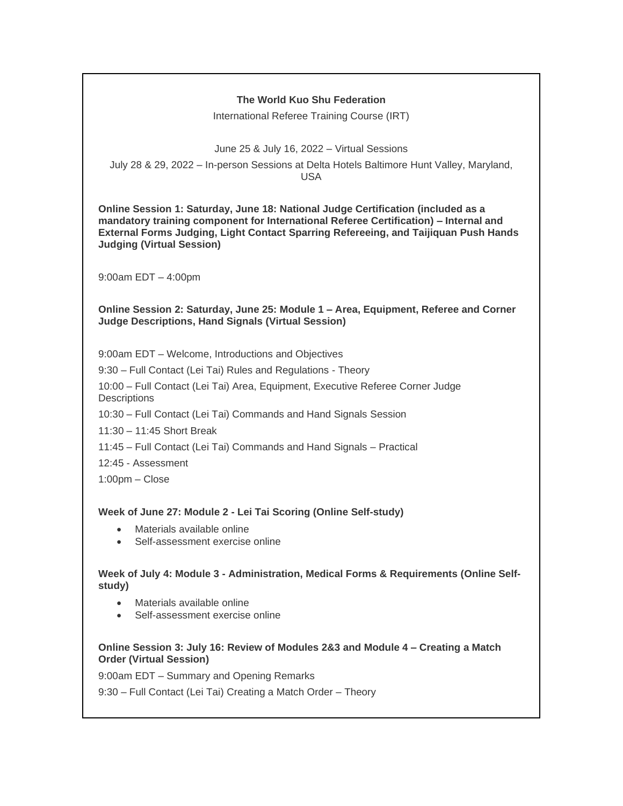## **The World Kuo Shu Federation**

International Referee Training Course (IRT)

June 25 & July 16, 2022 – Virtual Sessions

July 28 & 29, 2022 – In-person Sessions at Delta Hotels Baltimore Hunt Valley, Maryland, USA

**Online Session 1: Saturday, June 18: National Judge Certification (included as a mandatory training component for International Referee Certification) – Internal and External Forms Judging, Light Contact Sparring Refereeing, and Taijiquan Push Hands Judging (Virtual Session)**

9:00am EDT – 4:00pm

**Online Session 2: Saturday, June 25: Module 1 – Area, Equipment, Referee and Corner Judge Descriptions, Hand Signals (Virtual Session)**

9:00am EDT – Welcome, Introductions and Objectives

9:30 – Full Contact (Lei Tai) Rules and Regulations - Theory

10:00 – Full Contact (Lei Tai) Area, Equipment, Executive Referee Corner Judge **Descriptions** 

10:30 – Full Contact (Lei Tai) Commands and Hand Signals Session

11:30 – 11:45 Short Break

11:45 – Full Contact (Lei Tai) Commands and Hand Signals – Practical

12:45 - Assessment

1:00pm – Close

#### **Week of June 27: Module 2 - Lei Tai Scoring (Online Self-study)**

- Materials available online
- Self-assessment exercise online

**Week of July 4: Module 3 - Administration, Medical Forms & Requirements (Online Selfstudy)**

- Materials available online
- Self-assessment exercise online

#### **Online Session 3: July 16: Review of Modules 2&3 and Module 4 – Creating a Match Order (Virtual Session)**

9:00am EDT – Summary and Opening Remarks

9:30 – Full Contact (Lei Tai) Creating a Match Order – Theory